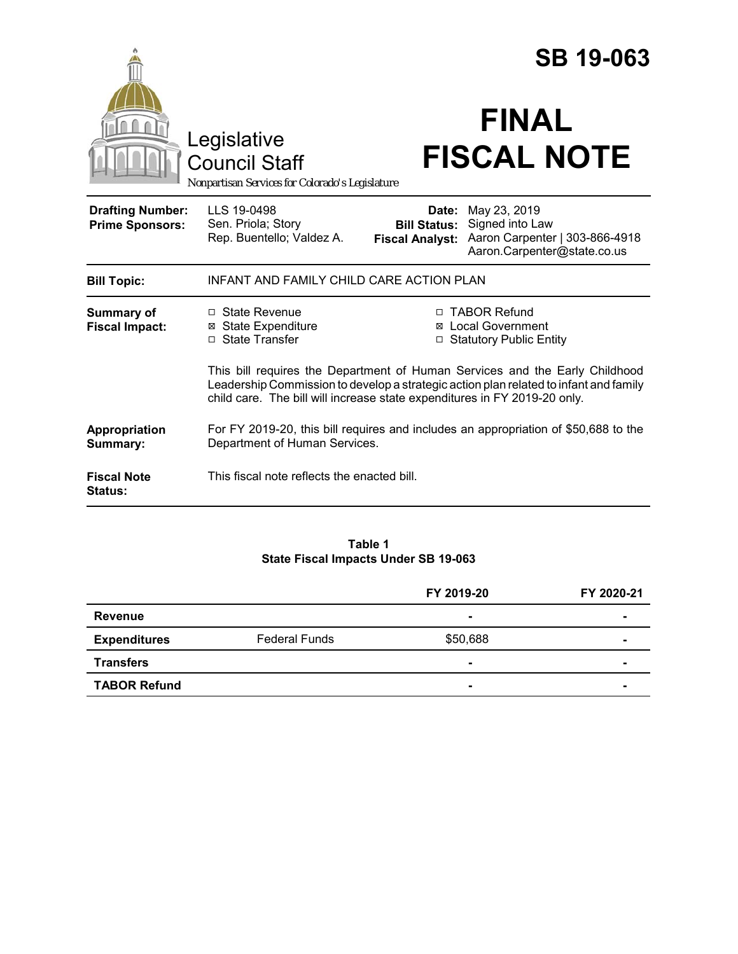|                                                   |                                                                                                                                                                                                                                                   |                                                                          | <b>SB 19-063</b>                                                                                 |  |
|---------------------------------------------------|---------------------------------------------------------------------------------------------------------------------------------------------------------------------------------------------------------------------------------------------------|--------------------------------------------------------------------------|--------------------------------------------------------------------------------------------------|--|
|                                                   | Legislative<br><b>Council Staff</b><br>Nonpartisan Services for Colorado's Legislature                                                                                                                                                            |                                                                          | <b>FINAL</b><br><b>FISCAL NOTE</b>                                                               |  |
| <b>Drafting Number:</b><br><b>Prime Sponsors:</b> | LLS 19-0498<br>Sen. Priola; Story<br>Rep. Buentello; Valdez A.                                                                                                                                                                                    | Date:<br><b>Bill Status:</b><br><b>Fiscal Analyst:</b>                   | May 23, 2019<br>Signed into Law<br>Aaron Carpenter   303-866-4918<br>Aaron.Carpenter@state.co.us |  |
| <b>Bill Topic:</b>                                | INFANT AND FAMILY CHILD CARE ACTION PLAN                                                                                                                                                                                                          |                                                                          |                                                                                                  |  |
| Summary of<br><b>Fiscal Impact:</b>               | □ State Revenue<br>⊠ State Expenditure<br>□ State Transfer                                                                                                                                                                                        | □ TABOR Refund<br><b>⊠</b> Local Government<br>□ Statutory Public Entity |                                                                                                  |  |
|                                                   | This bill requires the Department of Human Services and the Early Childhood<br>Leadership Commission to develop a strategic action plan related to infant and family<br>child care. The bill will increase state expenditures in FY 2019-20 only. |                                                                          |                                                                                                  |  |
| Appropriation<br>Summary:                         | For FY 2019-20, this bill requires and includes an appropriation of \$50,688 to the<br>Department of Human Services.                                                                                                                              |                                                                          |                                                                                                  |  |
| <b>Fiscal Note</b><br><b>Status:</b>              | This fiscal note reflects the enacted bill.                                                                                                                                                                                                       |                                                                          |                                                                                                  |  |

#### **Table 1 State Fiscal Impacts Under SB 19-063**

|                     |                      | FY 2019-20     | FY 2020-21 |
|---------------------|----------------------|----------------|------------|
| <b>Revenue</b>      |                      | $\blacksquare$ | ۰          |
| <b>Expenditures</b> | <b>Federal Funds</b> | \$50,688       |            |
| <b>Transfers</b>    |                      | $\blacksquare$ |            |
| <b>TABOR Refund</b> |                      | $\blacksquare$ |            |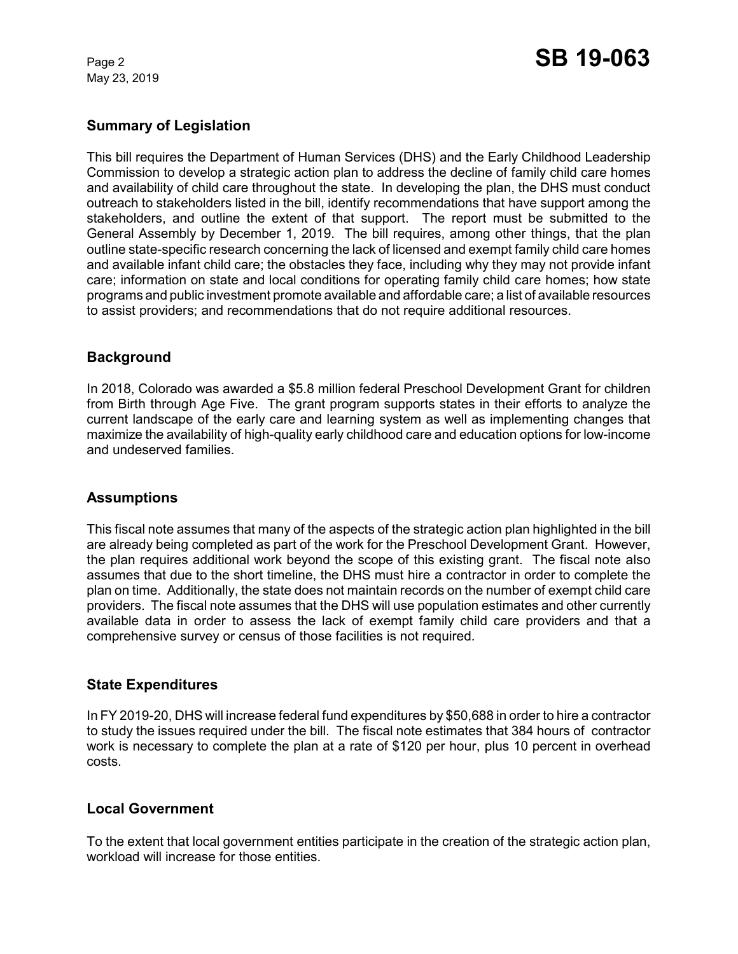May 23, 2019

## **Summary of Legislation**

This bill requires the Department of Human Services (DHS) and the Early Childhood Leadership Commission to develop a strategic action plan to address the decline of family child care homes and availability of child care throughout the state. In developing the plan, the DHS must conduct outreach to stakeholders listed in the bill, identify recommendations that have support among the stakeholders, and outline the extent of that support. The report must be submitted to the General Assembly by December 1, 2019. The bill requires, among other things, that the plan outline state-specific research concerning the lack of licensed and exempt family child care homes and available infant child care; the obstacles they face, including why they may not provide infant care; information on state and local conditions for operating family child care homes; how state programs and public investment promote available and affordable care; a list of available resources to assist providers; and recommendations that do not require additional resources.

# **Background**

In 2018, Colorado was awarded a \$5.8 million federal Preschool Development Grant for children from Birth through Age Five. The grant program supports states in their efforts to analyze the current landscape of the early care and learning system as well as implementing changes that maximize the availability of high-quality early childhood care and education options for low-income and undeserved families.

### **Assumptions**

This fiscal note assumes that many of the aspects of the strategic action plan highlighted in the bill are already being completed as part of the work for the Preschool Development Grant. However, the plan requires additional work beyond the scope of this existing grant. The fiscal note also assumes that due to the short timeline, the DHS must hire a contractor in order to complete the plan on time. Additionally, the state does not maintain records on the number of exempt child care providers. The fiscal note assumes that the DHS will use population estimates and other currently available data in order to assess the lack of exempt family child care providers and that a comprehensive survey or census of those facilities is not required.

### **State Expenditures**

In FY 2019-20, DHS will increase federal fund expenditures by \$50,688 in order to hire a contractor to study the issues required under the bill. The fiscal note estimates that 384 hours of contractor work is necessary to complete the plan at a rate of \$120 per hour, plus 10 percent in overhead costs.

### **Local Government**

To the extent that local government entities participate in the creation of the strategic action plan, workload will increase for those entities.